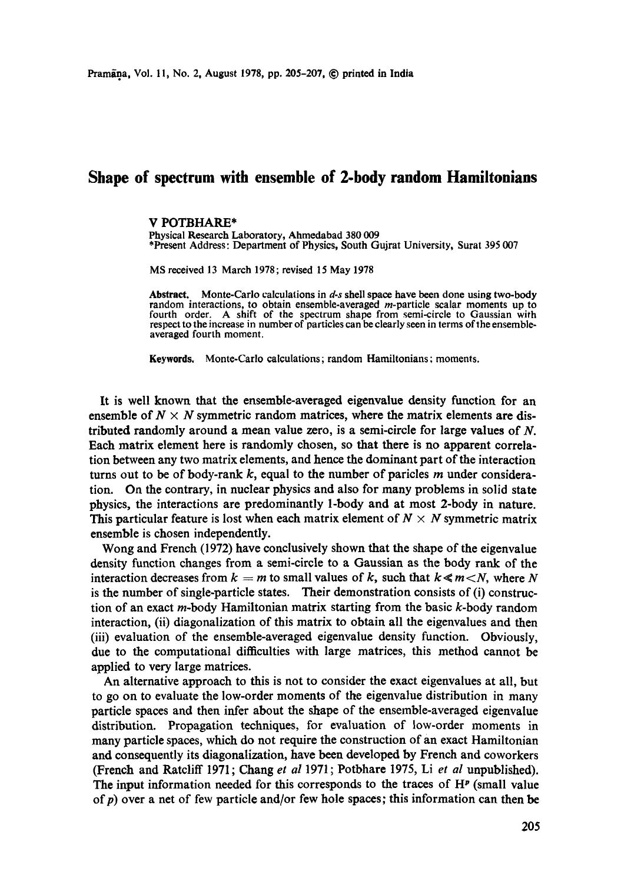## **Shape of spectrum with ensemble of 2-body random Hamiltonians**

## **V** POTBHARE\*

Physical Research Laboratory, Ahmedabad 380 009 \*Present Address: Department of Physics, South Gujrat University, Surat 395 007

MS received 13 March 1978; revised 15 May 1978

Abstract. Monte-Carlo calculations in *d-s* shell space have been done using two-body random interactions, to obtain ensemble-averaged *m*-particle scalar moments up to fourth order. A shift of the spectrum shape from semi-circle to Gaussian with respect to the increase in number of particles can be clearly seen in terms of the ensembleaveraged fourth moment.

**Keywords.** Monte-Carlo calculations; random Hamiltonians: moments.

It is well known that the ensemble-averaged eigenvalue density function for an ensemble of  $N \times N$  symmetric random matrices, where the matrix elements are distributed randomly around a mean value zero, is a semi-circle for large values of N. Each matrix element here is randomly chosen, so that there is no apparent correlation between any two matrix elements, and hence the dominant part of the interaction turns out to be of body-rank  $k$ , equal to the number of paricles  $m$  under consideration. On the contrary, in nuclear physics and also for many problems in solid state physics, the interactions are predominantly 1-body and at most 2-body in nature. This particular feature is lost when each matrix element of  $N \times N$  symmetric matrix ensemble is chosen independently.

Wong and French (1972) have conclusively shown that the shape of the eigenvalue density function changes from a semi-circle to a Gaussian as the body rank of the interaction decreases from  $k = m$  to small values of k, such that  $k \le m < N$ , where N is the number of single-particle states. Their demonstration consists of (i) construction of an exact m-body Hamiltonian matrix starting from the basic k-body random interaction, (ii) diagonalization of this matrix to obtain all the eigenvalues and then (iii) evaluation of the ensemble-averaged eigenvalue density function. Obviously, due to the computational difficulties with large matrices, this method cannot be applied to very large matrices.

An alternative approach to this is not to consider the exact eigenvalues at all, but to go on to evaluate the low-order moments of the eigenvalue distribution in many particle spaces and then infer about the shape of the ensemble-averaged eigenvalue distribution. Propagation techniques, for evaluation of low-order moments in many particle spaces, which do not require the construction of an exact Hamiltonian and consequently its diagonalization, have been developed by French and coworkers (French and Ratcliff 1971 ; Chang *et al* 1971 ; Potbhare 1975, Li *et al* unpublished). The input information needed for this corresponds to the traces of  $H<sup>p</sup>$  (small value of  $p$ ) over a net of few particle and/or few hole spaces; this information can then be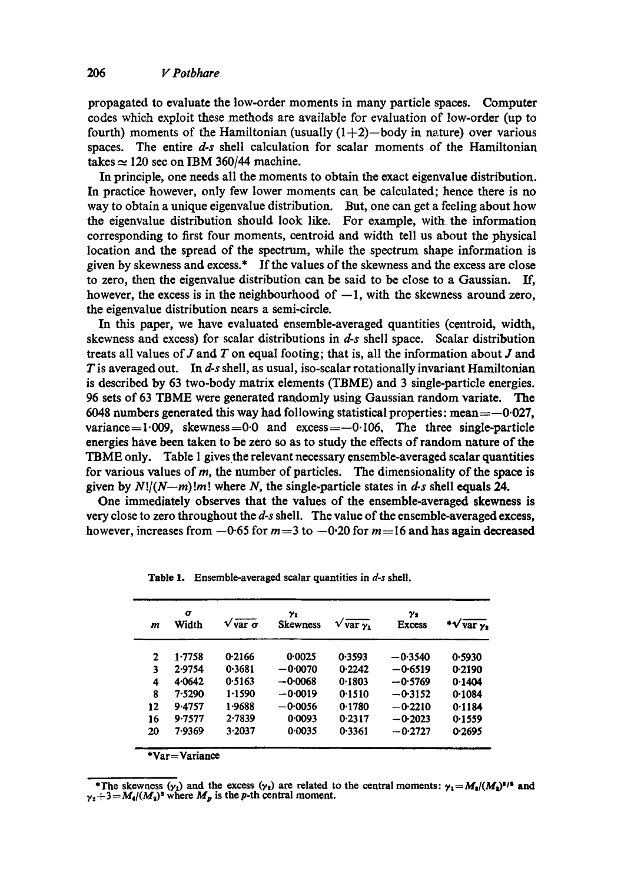propagated to evaluate the low-order moments in many particle spaces. Computer codes which exploit these methods are available for evaluation of low-order (up to fourth) moments of the Hamiltonian (usually  $(1+2)$ -body in nature) over various spaces. The entire *d-s* shell calculation for scalar moments of the Hamiltonian takes  $\simeq$  120 sec on IBM 360/44 machine.

In principle, one needs all the moments to obtain the exact eigenvalue distribution. In practice however, only few lower moments can be calculated; hence there is no way to obtain a unique eigenvalue distribution. But, one can get a feeling about how the eigenvalue distribution should look like. For example, with. the information corresponding to first four moments, eentroid and width tell us about the physical location and the spread of the spectrum, while the spectrum shape information is given by skewness and excess.\* If the values of the skewness and the excess are close to zero, then the eigenvalue distribution can be said to be close to a Gaussian. If, however, the excess is in the neighbourhood of  $-1$ , with the skewness around zero, the eigenvalue distribution nears a semi-circle.

In this paper, we have evaluated ensemble-averaged quantities (centroid, width, skewness and excess) for scalar distributions in *d-s* shell space. Scalar distribution treats all values of  $J$  and  $T$  on equal footing; that is, all the information about  $J$  and T is averaged out. In *d-s* shell, as usual, iso-scalar rotationally invariant Hamiltonian is described by 63 two-body matrix elements (TBME) and 3 single-particle energies. 96 sets of 63 TBME were generated randomly using Gaussian random variate. The 6048 numbers generated this way had following statistical properties: mean  $=$  -0027, variance=1.009, skewness=0.0 and excess= $-0.106$ , The three single-particle energies have been taken to be zero so as to study the effects of random nature of the TBME only. Table I gives the relevant necessary ensemble-averaged scalar quantities for various values of  $m$ , the number of particles. The dimensionality of the space is given by  $N!/(N-m)!m!$  where N, the single-particle states in  $d-s$  shell equals 24.

One immediately observes that the values of the ensemble-averaged skewness is very close to zero throughout the *d-s* shell. The value of the ensemble-averaged excess, however, increases from  $-0.65$  for  $m=3$  to  $-0.20$  for  $m=16$  and has again decreased

| m  | $\sigma$<br>Width              | $V$ var $\sigma$ | γ1<br><b>Skewness</b> | $V \overline{var \, \gamma_1}$ | Y2<br>Excess | var y. |
|----|--------------------------------|------------------|-----------------------|--------------------------------|--------------|--------|
| 2  | 1.7758                         | 0.2166           | 0.0025                | 0.3593                         | $-0.3540$    | 0.5930 |
| 3  | 2.9754                         | 0.3681           | $-0.0070$             | 0.2242                         | $-0.6519$    | 0-2190 |
| 4  | 4.0642                         | 0.5163           | $-0.0068$             | 0.1803                         | $-0.5769$    | 0.1404 |
| 8  | 7.5290                         | 1.1590           | $-0.0019$             | 0.1510                         | $-0.3152$    | 0.1084 |
| 12 | 9.4757                         | 1.9688           | $-0.0056$             | 0.1780                         | $-0.2210$    | 0.1184 |
| 16 | 9.7577                         | 2.7839           | 0.0093                | 0.2317                         | $-0.2023$    | 0.1559 |
| 20 | 7-9369                         | 3.2037           | 0.0035                | 0.3361                         | $-0.2727$    | 0.2695 |
|    | $\text{Var} = \text{Variance}$ |                  |                       |                                |              |        |

Table 1. Ensemble-averaged scalar quantities in *d-s* shell.

\*The skewness  $(\gamma_1)$  and the excess  $(\gamma_2)$  are related to the central moments:  $\gamma_1 = M_1/(M_1)^{3/2}$  and  $\gamma_2 + 3 = M_1/(M_2)^2$  where  $M_p$  is the p-th central moment.